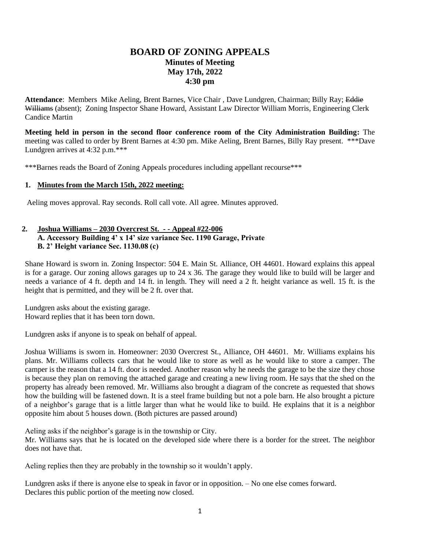# **BOARD OF ZONING APPEALS Minutes of Meeting May 17th, 2022 4:30 pm**

**Attendance**: Members Mike Aeling, Brent Barnes, Vice Chair , Dave Lundgren, Chairman; Billy Ray; Eddie Williams (absent); Zoning Inspector Shane Howard, Assistant Law Director William Morris, Engineering Clerk Candice Martin

**Meeting held in person in the second floor conference room of the City Administration Building:** The meeting was called to order by Brent Barnes at 4:30 pm. Mike Aeling, Brent Barnes, Billy Ray present. \*\*\*Dave Lundgren arrives at 4:32 p.m.\*\*\*

\*\*\*Barnes reads the Board of Zoning Appeals procedures including appellant recourse\*\*\*

## **1. Minutes from the March 15th, 2022 meeting:**

Aeling moves approval. Ray seconds. Roll call vote. All agree. Minutes approved.

# **2. Joshua Williams – 2030 Overcrest St. - - Appeal #22-006 A. Accessory Building 4' x 14' size variance Sec. 1190 Garage, Private B. 2' Height variance Sec. 1130.08 (c)**

Shane Howard is sworn in. Zoning Inspector: 504 E. Main St. Alliance, OH 44601. Howard explains this appeal is for a garage. Our zoning allows garages up to 24 x 36. The garage they would like to build will be larger and needs a variance of 4 ft. depth and 14 ft. in length. They will need a 2 ft. height variance as well. 15 ft. is the height that is permitted, and they will be 2 ft. over that.

Lundgren asks about the existing garage. Howard replies that it has been torn down.

Lundgren asks if anyone is to speak on behalf of appeal.

Joshua Williams is sworn in. Homeowner: 2030 Overcrest St., Alliance, OH 44601. Mr. Williams explains his plans. Mr. Williams collects cars that he would like to store as well as he would like to store a camper. The camper is the reason that a 14 ft. door is needed. Another reason why he needs the garage to be the size they chose is because they plan on removing the attached garage and creating a new living room. He says that the shed on the property has already been removed. Mr. Williams also brought a diagram of the concrete as requested that shows how the building will be fastened down. It is a steel frame building but not a pole barn. He also brought a picture of a neighbor's garage that is a little larger than what he would like to build. He explains that it is a neighbor opposite him about 5 houses down. (Both pictures are passed around)

Aeling asks if the neighbor's garage is in the township or City.

Mr. Williams says that he is located on the developed side where there is a border for the street. The neighbor does not have that.

Aeling replies then they are probably in the township so it wouldn't apply.

Lundgren asks if there is anyone else to speak in favor or in opposition. – No one else comes forward. Declares this public portion of the meeting now closed.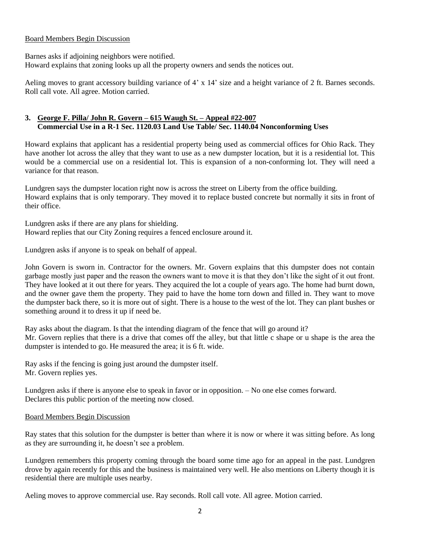#### Board Members Begin Discussion

Barnes asks if adjoining neighbors were notified.

Howard explains that zoning looks up all the property owners and sends the notices out.

Aeling moves to grant accessory building variance of 4' x 14' size and a height variance of 2 ft. Barnes seconds. Roll call vote. All agree. Motion carried.

# **3. George F. Pilla/ John R. Govern – 615 Waugh St. – Appeal #22-007 Commercial Use in a R-1 Sec. 1120.03 Land Use Table/ Sec. 1140.04 Nonconforming Uses**

Howard explains that applicant has a residential property being used as commercial offices for Ohio Rack. They have another lot across the alley that they want to use as a new dumpster location, but it is a residential lot. This would be a commercial use on a residential lot. This is expansion of a non-conforming lot. They will need a variance for that reason.

Lundgren says the dumpster location right now is across the street on Liberty from the office building. Howard explains that is only temporary. They moved it to replace busted concrete but normally it sits in front of their office.

Lundgren asks if there are any plans for shielding. Howard replies that our City Zoning requires a fenced enclosure around it.

Lundgren asks if anyone is to speak on behalf of appeal.

John Govern is sworn in. Contractor for the owners. Mr. Govern explains that this dumpster does not contain garbage mostly just paper and the reason the owners want to move it is that they don't like the sight of it out front. They have looked at it out there for years. They acquired the lot a couple of years ago. The home had burnt down, and the owner gave them the property. They paid to have the home torn down and filled in. They want to move the dumpster back there, so it is more out of sight. There is a house to the west of the lot. They can plant bushes or something around it to dress it up if need be.

Ray asks about the diagram. Is that the intending diagram of the fence that will go around it? Mr. Govern replies that there is a drive that comes off the alley, but that little c shape or u shape is the area the dumpster is intended to go. He measured the area; it is 6 ft. wide.

Ray asks if the fencing is going just around the dumpster itself. Mr. Govern replies yes.

Lundgren asks if there is anyone else to speak in favor or in opposition. – No one else comes forward. Declares this public portion of the meeting now closed.

## Board Members Begin Discussion

Ray states that this solution for the dumpster is better than where it is now or where it was sitting before. As long as they are surrounding it, he doesn't see a problem.

Lundgren remembers this property coming through the board some time ago for an appeal in the past. Lundgren drove by again recently for this and the business is maintained very well. He also mentions on Liberty though it is residential there are multiple uses nearby.

Aeling moves to approve commercial use. Ray seconds. Roll call vote. All agree. Motion carried.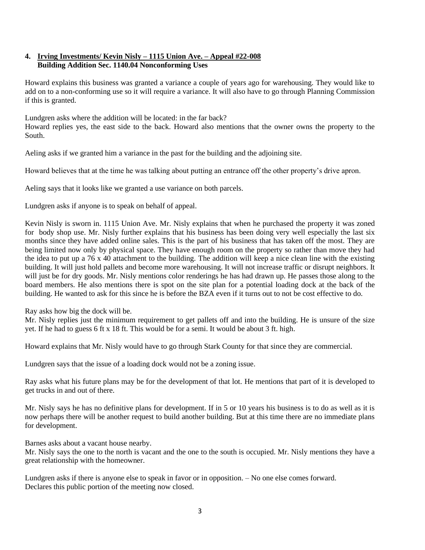# **4. Irving Investments/ Kevin Nisly – 1115 Union Ave. – Appeal #22-008 Building Addition Sec. 1140.04 Nonconforming Uses**

Howard explains this business was granted a variance a couple of years ago for warehousing. They would like to add on to a non-conforming use so it will require a variance. It will also have to go through Planning Commission if this is granted.

Lundgren asks where the addition will be located: in the far back?

Howard replies yes, the east side to the back. Howard also mentions that the owner owns the property to the South.

Aeling asks if we granted him a variance in the past for the building and the adjoining site.

Howard believes that at the time he was talking about putting an entrance off the other property's drive apron.

Aeling says that it looks like we granted a use variance on both parcels.

Lundgren asks if anyone is to speak on behalf of appeal.

Kevin Nisly is sworn in. 1115 Union Ave. Mr. Nisly explains that when he purchased the property it was zoned for body shop use. Mr. Nisly further explains that his business has been doing very well especially the last six months since they have added online sales. This is the part of his business that has taken off the most. They are being limited now only by physical space. They have enough room on the property so rather than move they had the idea to put up a 76 x 40 attachment to the building. The addition will keep a nice clean line with the existing building. It will just hold pallets and become more warehousing. It will not increase traffic or disrupt neighbors. It will just be for dry goods. Mr. Nisly mentions color renderings he has had drawn up. He passes those along to the board members. He also mentions there is spot on the site plan for a potential loading dock at the back of the building. He wanted to ask for this since he is before the BZA even if it turns out to not be cost effective to do.

Ray asks how big the dock will be.

Mr. Nisly replies just the minimum requirement to get pallets off and into the building. He is unsure of the size yet. If he had to guess 6 ft x 18 ft. This would be for a semi. It would be about 3 ft. high.

Howard explains that Mr. Nisly would have to go through Stark County for that since they are commercial.

Lundgren says that the issue of a loading dock would not be a zoning issue.

Ray asks what his future plans may be for the development of that lot. He mentions that part of it is developed to get trucks in and out of there.

Mr. Nisly says he has no definitive plans for development. If in 5 or 10 years his business is to do as well as it is now perhaps there will be another request to build another building. But at this time there are no immediate plans for development.

Barnes asks about a vacant house nearby.

Mr. Nisly says the one to the north is vacant and the one to the south is occupied. Mr. Nisly mentions they have a great relationship with the homeowner.

Lundgren asks if there is anyone else to speak in favor or in opposition. – No one else comes forward. Declares this public portion of the meeting now closed.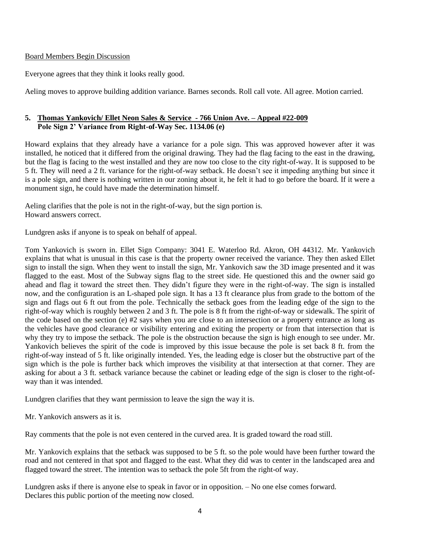#### Board Members Begin Discussion

Everyone agrees that they think it looks really good.

Aeling moves to approve building addition variance. Barnes seconds. Roll call vote. All agree. Motion carried.

# **5. Thomas Yankovich/ Ellet Neon Sales & Service - 766 Union Ave. – Appeal #22-009 Pole Sign 2' Variance from Right-of-Way Sec. 1134.06 (e)**

Howard explains that they already have a variance for a pole sign. This was approved however after it was installed, he noticed that it differed from the original drawing. They had the flag facing to the east in the drawing, but the flag is facing to the west installed and they are now too close to the city right-of-way. It is supposed to be 5 ft. They will need a 2 ft. variance for the right-of-way setback. He doesn't see it impeding anything but since it is a pole sign, and there is nothing written in our zoning about it, he felt it had to go before the board. If it were a monument sign, he could have made the determination himself.

Aeling clarifies that the pole is not in the right-of-way, but the sign portion is. Howard answers correct.

Lundgren asks if anyone is to speak on behalf of appeal.

Tom Yankovich is sworn in. Ellet Sign Company: 3041 E. Waterloo Rd. Akron, OH 44312. Mr. Yankovich explains that what is unusual in this case is that the property owner received the variance. They then asked Ellet sign to install the sign. When they went to install the sign, Mr. Yankovich saw the 3D image presented and it was flagged to the east. Most of the Subway signs flag to the street side. He questioned this and the owner said go ahead and flag it toward the street then. They didn't figure they were in the right-of-way. The sign is installed now, and the configuration is an L-shaped pole sign. It has a 13 ft clearance plus from grade to the bottom of the sign and flags out 6 ft out from the pole. Technically the setback goes from the leading edge of the sign to the right-of-way which is roughly between 2 and 3 ft. The pole is 8 ft from the right-of-way or sidewalk. The spirit of the code based on the section (e) #2 says when you are close to an intersection or a property entrance as long as the vehicles have good clearance or visibility entering and exiting the property or from that intersection that is why they try to impose the setback. The pole is the obstruction because the sign is high enough to see under. Mr. Yankovich believes the spirit of the code is improved by this issue because the pole is set back 8 ft. from the right-of-way instead of 5 ft. like originally intended. Yes, the leading edge is closer but the obstructive part of the sign which is the pole is further back which improves the visibility at that intersection at that corner. They are asking for about a 3 ft. setback variance because the cabinet or leading edge of the sign is closer to the right-ofway than it was intended.

Lundgren clarifies that they want permission to leave the sign the way it is.

Mr. Yankovich answers as it is.

Ray comments that the pole is not even centered in the curved area. It is graded toward the road still.

Mr. Yankovich explains that the setback was supposed to be 5 ft. so the pole would have been further toward the road and not centered in that spot and flagged to the east. What they did was to center in the landscaped area and flagged toward the street. The intention was to setback the pole 5ft from the right-of way.

Lundgren asks if there is anyone else to speak in favor or in opposition. – No one else comes forward. Declares this public portion of the meeting now closed.